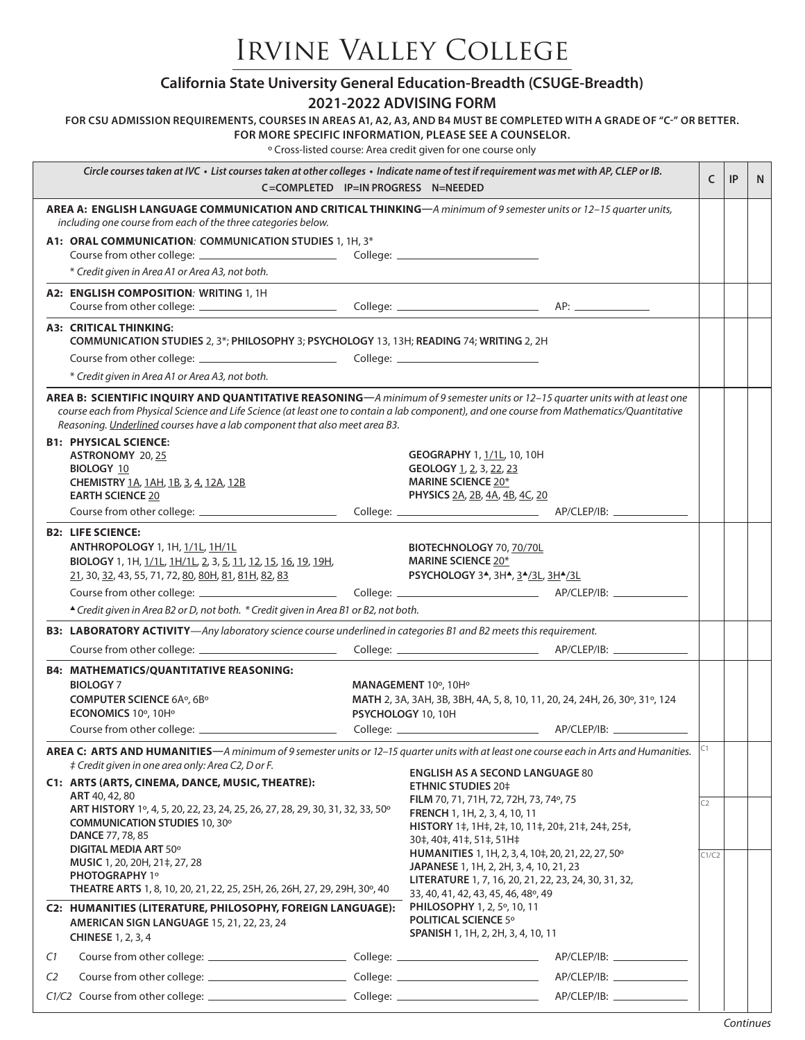## Irvine Valley College

|  | California State University General Education-Breadth (CSUGE-Breadth) |
|--|-----------------------------------------------------------------------|
|--|-----------------------------------------------------------------------|

## **2021-2022 ADVISING FORM**

**FOR CSU ADMISSION REQUIREMENTS, COURSES IN AREAS A1, A2, A3, AND B4 MUST BE COMPLETED WITH A GRADE OF "C-" OR BETTER.** 

**FOR MORE SPECIFIC INFORMATION, PLEASE SEE A COUNSELOR.**

º Cross-listed course: Area credit given for one course only

| Circle courses taken at IVC · List courses taken at other colleges · Indicate name of test if requirement was met with AP, CLEP or IB.<br>C=COMPLETED IP=IN PROGRESS N=NEEDED                                                                                                                                                                            |                                                                                                                                                                                                                                                                              |                                                                                                                                                          | C                                                                                                                                                                                             | IP    | N. |  |
|----------------------------------------------------------------------------------------------------------------------------------------------------------------------------------------------------------------------------------------------------------------------------------------------------------------------------------------------------------|------------------------------------------------------------------------------------------------------------------------------------------------------------------------------------------------------------------------------------------------------------------------------|----------------------------------------------------------------------------------------------------------------------------------------------------------|-----------------------------------------------------------------------------------------------------------------------------------------------------------------------------------------------|-------|----|--|
| AREA A: ENGLISH LANGUAGE COMMUNICATION AND CRITICAL THINKING-A minimum of 9 semester units or 12-15 quarter units,<br>including one course from each of the three categories below.                                                                                                                                                                      |                                                                                                                                                                                                                                                                              |                                                                                                                                                          |                                                                                                                                                                                               |       |    |  |
| A1: ORAL COMMUNICATION: COMMUNICATION STUDIES 1, 1H, 3*<br>* Credit given in Area A1 or Area A3, not both.                                                                                                                                                                                                                                               |                                                                                                                                                                                                                                                                              |                                                                                                                                                          |                                                                                                                                                                                               |       |    |  |
|                                                                                                                                                                                                                                                                                                                                                          | A2: ENGLISH COMPOSITION: WRITING 1, 1H                                                                                                                                                                                                                                       |                                                                                                                                                          |                                                                                                                                                                                               |       |    |  |
|                                                                                                                                                                                                                                                                                                                                                          | <b>A3: CRITICAL THINKING:</b><br>COMMUNICATION STUDIES 2, 3*; PHILOSOPHY 3; PSYCHOLOGY 13, 13H; READING 74; WRITING 2, 2H<br>* Credit given in Area A1 or Area A3, not both.                                                                                                 |                                                                                                                                                          |                                                                                                                                                                                               |       |    |  |
| AREA B: SCIENTIFIC INQUIRY AND QUANTITATIVE REASONING-A minimum of 9 semester units or 12-15 quarter units with at least one<br>course each from Physical Science and Life Science (at least one to contain a lab component), and one course from Mathematics/Quantitative<br>Reasoning. Underlined courses have a lab component that also meet area B3. |                                                                                                                                                                                                                                                                              |                                                                                                                                                          |                                                                                                                                                                                               |       |    |  |
|                                                                                                                                                                                                                                                                                                                                                          | <b>B1: PHYSICAL SCIENCE:</b><br><b>ASTRONOMY 20, 25</b><br><b>BIOLOGY 10</b><br>CHEMISTRY 1A, 1AH, 1B, 3, 4, 12A, 12B<br><b>EARTH SCIENCE 20</b>                                                                                                                             |                                                                                                                                                          | <b>GEOGRAPHY 1, 1/1L, 10, 10H</b><br>GEOLOGY 1, 2, 3, 22, 23<br><b>MARINE SCIENCE 20*</b><br>PHYSICS 2A, 2B, 4A, 4B, 4C, 20                                                                   |       |    |  |
|                                                                                                                                                                                                                                                                                                                                                          |                                                                                                                                                                                                                                                                              |                                                                                                                                                          |                                                                                                                                                                                               |       |    |  |
|                                                                                                                                                                                                                                                                                                                                                          | <b>B2: LIFE SCIENCE:</b><br>ANTHROPOLOGY 1, 1H, 1/1L, 1H/1L<br>BIOLOGY 1, 1H, 1/1L, 1H/1L, 2, 3, 5, 11, 12, 15, 16, 19, 19H,<br>21, 30, 32, 43, 55, 71, 72, 80, 80H, 81, 81H, 82, 83<br>▲ Credit given in Area B2 or D, not both. * Credit given in Area B1 or B2, not both. |                                                                                                                                                          | BIOTECHNOLOGY 70, 70/70L<br><b>MARINE SCIENCE 20*</b><br>PSYCHOLOGY 3 <sup>A</sup> , 3H <sup>A</sup> , 3 <sup>A</sup> /3L, 3H <sup>A</sup> /3L                                                |       |    |  |
|                                                                                                                                                                                                                                                                                                                                                          | B3: LABORATORY ACTIVITY-Any laboratory science course underlined in categories B1 and B2 meets this requirement.                                                                                                                                                             |                                                                                                                                                          |                                                                                                                                                                                               |       |    |  |
|                                                                                                                                                                                                                                                                                                                                                          |                                                                                                                                                                                                                                                                              |                                                                                                                                                          |                                                                                                                                                                                               |       |    |  |
|                                                                                                                                                                                                                                                                                                                                                          | <b>B4: MATHEMATICS/QUANTITATIVE REASONING:</b><br><b>BIOLOGY 7</b><br><b>COMPUTER SCIENCE 6A°, 6B°</b><br>ECONOMICS 10°, 10H°                                                                                                                                                | MANAGEMENT 10°, 10H°<br>MATH 2, 3A, 3AH, 3B, 3BH, 4A, 5, 8, 10, 11, 20, 24, 24H, 26, 30°, 31°, 124<br>PSYCHOLOGY 10, 10H                                 |                                                                                                                                                                                               |       |    |  |
| $ C_1 $<br>AREA C: ARTS AND HUMANITIES-A minimum of 9 semester units or 12-15 quarter units with at least one course each in Arts and Humanities.                                                                                                                                                                                                        |                                                                                                                                                                                                                                                                              |                                                                                                                                                          |                                                                                                                                                                                               |       |    |  |
|                                                                                                                                                                                                                                                                                                                                                          | # Credit given in one area only: Area C2, D or F.<br>C1: ARTS (ARTS, CINEMA, DANCE, MUSIC, THEATRE):<br>ART 40, 42, 80                                                                                                                                                       |                                                                                                                                                          | <b>ENGLISH AS A SECOND LANGUAGE 80</b><br><b>ETHNIC STUDIES 20‡</b>                                                                                                                           |       |    |  |
| ART HISTORY 1º, 4, 5, 20, 22, 23, 24, 25, 26, 27, 28, 29, 30, 31, 32, 33, 50°<br><b>COMMUNICATION STUDIES 10, 30°</b><br><b>DANCE 77, 78, 85</b><br><b>DIGITAL MEDIA ART 50°</b>                                                                                                                                                                         |                                                                                                                                                                                                                                                                              | FILM 70, 71, 71H, 72, 72H, 73, 74°, 75<br>FRENCH 1, 1H, 2, 3, 4, 10, 11<br>HISTORY 1‡, 1H‡, 2‡, 10, 11‡, 20‡, 21‡, 24‡, 25‡,<br>30‡, 40‡, 41‡, 51‡, 51H‡ | C <sub>2</sub>                                                                                                                                                                                |       |    |  |
|                                                                                                                                                                                                                                                                                                                                                          | MUSIC 1, 20, 20H, 21‡, 27, 28<br>PHOTOGRAPHY 1°<br>THEATRE ARTS 1, 8, 10, 20, 21, 22, 25, 25H, 26, 26H, 27, 29, 29H, 30°, 40                                                                                                                                                 |                                                                                                                                                          | HUMANITIES 1, 1H, 2, 3, 4, 10‡, 20, 21, 22, 27, 50°<br>JAPANESE 1, 1H, 2, 2H, 3, 4, 10, 21, 23<br>LITERATURE 1, 7, 16, 20, 21, 22, 23, 24, 30, 31, 32,<br>33, 40, 41, 42, 43, 45, 46, 48°, 49 | C1/C2 |    |  |
|                                                                                                                                                                                                                                                                                                                                                          | C2: HUMANITIES (LITERATURE, PHILOSOPHY, FOREIGN LANGUAGE):<br>AMERICAN SIGN LANGUAGE 15, 21, 22, 23, 24<br><b>CHINESE 1, 2, 3, 4</b>                                                                                                                                         |                                                                                                                                                          | PHILOSOPHY 1, 2, 5°, 10, 11<br><b>POLITICAL SCIENCE 5°</b><br>SPANISH 1, 1H, 2, 2H, 3, 4, 10, 11                                                                                              |       |    |  |
| C1                                                                                                                                                                                                                                                                                                                                                       |                                                                                                                                                                                                                                                                              |                                                                                                                                                          |                                                                                                                                                                                               |       |    |  |
| C <sub>2</sub>                                                                                                                                                                                                                                                                                                                                           |                                                                                                                                                                                                                                                                              |                                                                                                                                                          |                                                                                                                                                                                               |       |    |  |
|                                                                                                                                                                                                                                                                                                                                                          |                                                                                                                                                                                                                                                                              |                                                                                                                                                          |                                                                                                                                                                                               |       |    |  |